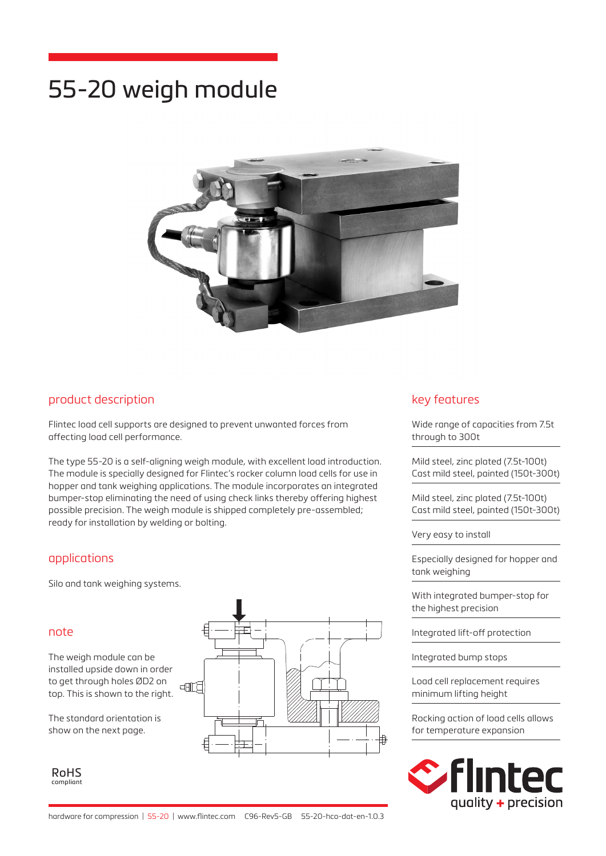# 55-20 weigh module



## product description

Flintec load cell supports are designed to prevent unwanted forces from affecting load cell performance.

The type 55-20 is a self-aligning weigh module, with excellent load introduction. The module is specially designed for Flintec's rocker column load cells for use in hopper and tank weighing applications. The module incorporates an integrated bumper-stop eliminating the need of using check links thereby offering highest possible precision. The weigh module is shipped completely pre-assembled; ready for installation by welding or bolting.

## applications

Silo and tank weighing systems.

## note

The weigh module can be installed upside down in order to get through holes ØD2 on top. This is shown to the right.

The standard orientation is show on the next page.

RoHS compliant



## key features

Wide range of capacities from 7.5t through to 300t

Mild steel, zinc plated (7.5t-100t) Cast mild steel, painted (150t-300t)

Mild steel, zinc plated (7.5t-100t) Cast mild steel, painted (150t-300t)

Very easy to install

Especially designed for hopper and tank weighing

With integrated bumper-stop for the highest precision

Integrated lift-off protection

Integrated bump stops

Load cell replacement requires minimum lifting height

Rocking action of load cells allows for temperature expansion